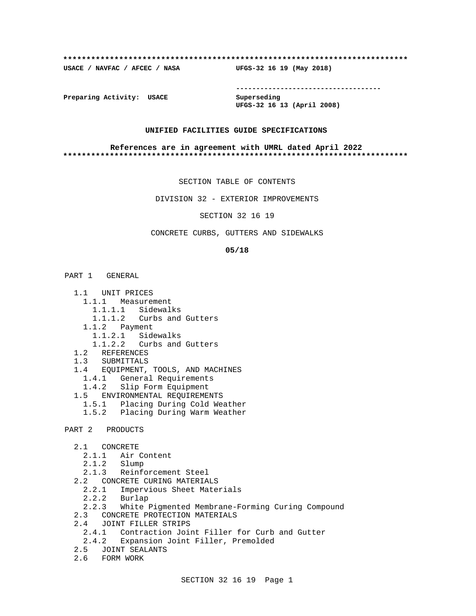### **\*\*\*\*\*\*\*\*\*\*\*\*\*\*\*\*\*\*\*\*\*\*\*\*\*\*\*\*\*\*\*\*\*\*\*\*\*\*\*\*\*\*\*\*\*\*\*\*\*\*\*\*\*\*\*\*\*\*\*\*\*\*\*\*\*\*\*\*\*\*\*\*\*\***

**USACE / NAVFAC / AFCEC / NASA UFGS-32 16 19 (May 2018)**

**------------------------------------**

**Preparing Activity: USACE Superseding**

**UFGS-32 16 13 (April 2008)**

## **UNIFIED FACILITIES GUIDE SPECIFICATIONS**

### **References are in agreement with UMRL dated April 2022 \*\*\*\*\*\*\*\*\*\*\*\*\*\*\*\*\*\*\*\*\*\*\*\*\*\*\*\*\*\*\*\*\*\*\*\*\*\*\*\*\*\*\*\*\*\*\*\*\*\*\*\*\*\*\*\*\*\*\*\*\*\*\*\*\*\*\*\*\*\*\*\*\*\***

SECTION TABLE OF CONTENTS

DIVISION 32 - EXTERIOR IMPROVEMENTS

SECTION 32 16 19

CONCRETE CURBS, GUTTERS AND SIDEWALKS

### **05/18**

# PART 1 GENERAL

- 1.1 UNIT PRICES
	- 1.1.1 Measurement
		- 1.1.1.1 Sidewalks
		- 1.1.1.2 Curbs and Gutters
	- 1.1.2 Payment
		- 1.1.2.1 Sidewalks
		- 1.1.2.2 Curbs and Gutters
- 1.2 REFERENCES
- 1.3 SUBMITTALS
- 1.4 EQUIPMENT, TOOLS, AND MACHINES
- 1.4.1 General Requirements
- 1.4.2 Slip Form Equipment
- 1.5 ENVIRONMENTAL REQUIREMENTS
	- 1.5.1 Placing During Cold Weather
	- 1.5.2 Placing During Warm Weather
- PART 2 PRODUCTS
	- 2.1 CONCRETE
		- 2.1.1 Air Content
- 2.1.2 Slump
- 2.1.3 Reinforcement Steel
	- 2.2 CONCRETE CURING MATERIALS
		- 2.2.1 Impervious Sheet Materials
		- 2.2.2 Burlap
		- 2.2.3 White Pigmented Membrane-Forming Curing Compound
	- 2.3 CONCRETE PROTECTION MATERIALS
	- 2.4 JOINT FILLER STRIPS
		- 2.4.1 Contraction Joint Filler for Curb and Gutter
	- 2.4.2 Expansion Joint Filler, Premolded
	- 2.5 JOINT SEALANTS
	- 2.6 FORM WORK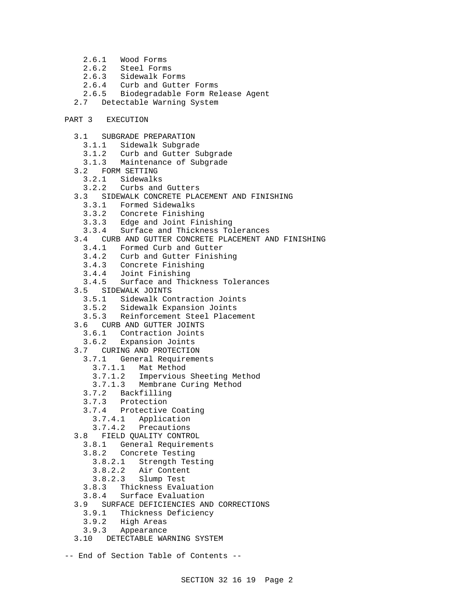- 2.6.1 Wood Forms
- 2.6.2 Steel Forms
- 2.6.3 Sidewalk Forms
- 2.6.4 Curb and Gutter Forms
- 2.6.5 Biodegradable Form Release Agent
- 2.7 Detectable Warning System
- PART 3 EXECUTION
	- 3.1 SUBGRADE PREPARATION
		- 3.1.1 Sidewalk Subgrade
		- 3.1.2 Curb and Gutter Subgrade
		- 3.1.3 Maintenance of Subgrade
	- 3.2 FORM SETTING
		- 3.2.1 Sidewalks
		- Curbs and Gutters
	- 3.3 SIDEWALK CONCRETE PLACEMENT AND FINISHING
		- 3.3.1 Formed Sidewalks
		- 3.3.2 Concrete Finishing
		- 3.3.3 Edge and Joint Finishing
		- 3.3.4 Surface and Thickness Tolerances
	- 3.4 CURB AND GUTTER CONCRETE PLACEMENT AND FINISHING
		- 3.4.1 Formed Curb and Gutter
		- 3.4.2 Curb and Gutter Finishing
		- 3.4.3 Concrete Finishing
		- 3.4.4 Joint Finishing
	- Surface and Thickness Tolerances
	- 3.5 SIDEWALK JOINTS
		- 3.5.1 Sidewalk Contraction Joints
		- 3.5.2 Sidewalk Expansion Joints
		- 3.5.3 Reinforcement Steel Placement
	- 3.6 CURB AND GUTTER JOINTS
		- 3.6.1 Contraction Joints
		- 3.6.2 Expansion Joints
	- 3.7 CURING AND PROTECTION
		- 3.7.1 General Requirements
			- 3.7.1.1 Mat Method
			- 3.7.1.2 Impervious Sheeting Method
			- 3.7.1.3 Membrane Curing Method
		- 3.7.2 Backfilling
		- 3.7.3 Protection
		- 3.7.4 Protective Coating
			- 3.7.4.1 Application
			- 3.7.4.2 Precautions
	- 3.8 FIELD QUALITY CONTROL
		- 3.8.1 General Requirements
		- 3.8.2 Concrete Testing
			- 3.8.2.1 Strength Testing
			- 3.8.2.2 Air Content
		- 3.8.2.3 Slump Test<br>3.8.3 Thickness Eval
		- 3.8.3 Thickness Evaluation
		- 3.8.4 Surface Evaluation
	- 3.9 SURFACE DEFICIENCIES AND CORRECTIONS
		- 3.9.1 Thickness Deficiency
		- 3.9.2 High Areas
		- 3.9.3 Appearance
	- 3.10 DETECTABLE WARNING SYSTEM
- -- End of Section Table of Contents --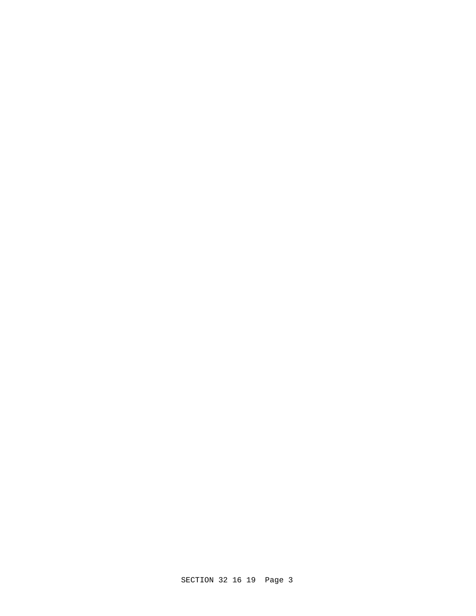SECTION 32 16 19 Page 3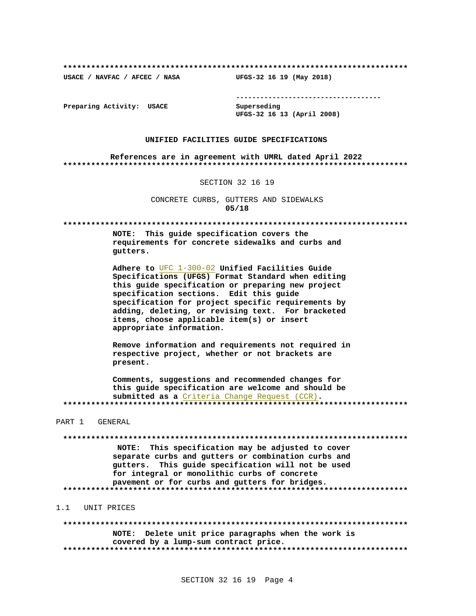USACE / NAVFAC / AFCEC / NASA

--------------------------------------

Preparing Activity: USACE

Superseding UFGS-32 16 13 (April 2008)

UFGS-32 16 19 (May 2018)

## UNIFIED FACILITIES GUIDE SPECIFICATIONS

References are in agreement with UMRL dated April 2022 

SECTION 32 16 19

CONCRETE CURBS, GUTTERS AND SIDEWALKS  $05/18$ 

NOTE: This guide specification covers the requirements for concrete sidewalks and curbs and gutters.

Adhere to UFC 1-300-02 Unified Facilities Guide Specifications (UFGS) Format Standard when editing this quide specification or preparing new project specification sections. Edit this guide specification for project specific requirements by adding, deleting, or revising text. For bracketed items, choose applicable item(s) or insert appropriate information.

Remove information and requirements not required in respective project, whether or not brackets are present.

Comments, suggestions and recommended changes for this quide specification are welcome and should be submitted as a Criteria Change Request (CCR). 

PART 1 GENERAL

NOTE: This specification may be adjusted to cover separate curbs and gutters or combination curbs and gutters. This guide specification will not be used for integral or monolithic curbs of concrete pavement or for curbs and gutters for bridges. 

1.1 UNIT PRICES

NOTE: Delete unit price paragraphs when the work is covered by a lump-sum contract price.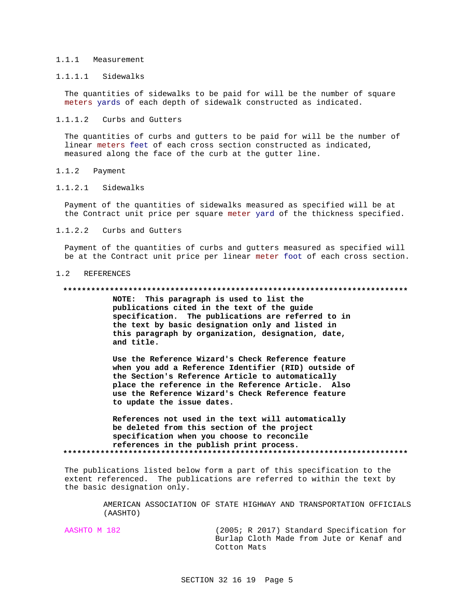# 1.1.1 Measurement

## 1.1.1.1 Sidewalks

The quantities of sidewalks to be paid for will be the number of square meters yards of each depth of sidewalk constructed as indicated.

### 1.1.1.2 Curbs and Gutters

The quantities of curbs and gutters to be paid for will be the number of linear meters feet of each cross section constructed as indicated, measured along the face of the curb at the gutter line.

#### $1.1.2$ Payment

#### $1.1.2.1$ Sidewalks

Payment of the quantities of sidewalks measured as specified will be at the Contract unit price per square meter yard of the thickness specified.

#### $1.1.2.2$ Curbs and Gutters

Payment of the quantities of curbs and gutters measured as specified will be at the Contract unit price per linear meter foot of each cross section.

#### $1.2$ REFERENCES

#### 

NOTE: This paragraph is used to list the publications cited in the text of the guide specification. The publications are referred to in the text by basic designation only and listed in this paragraph by organization, designation, date, and title.

Use the Reference Wizard's Check Reference feature when you add a Reference Identifier (RID) outside of the Section's Reference Article to automatically place the reference in the Reference Article. Also use the Reference Wizard's Check Reference feature to update the issue dates.

References not used in the text will automatically be deleted from this section of the project specification when you choose to reconcile references in the publish print process. 

The publications listed below form a part of this specification to the extent referenced. The publications are referred to within the text by the basic designation only.

> AMERICAN ASSOCIATION OF STATE HIGHWAY AND TRANSPORTATION OFFICIALS (AASHTO)

AASHTO M 182

(2005; R 2017) Standard Specification for Burlap Cloth Made from Jute or Kenaf and Cotton Mats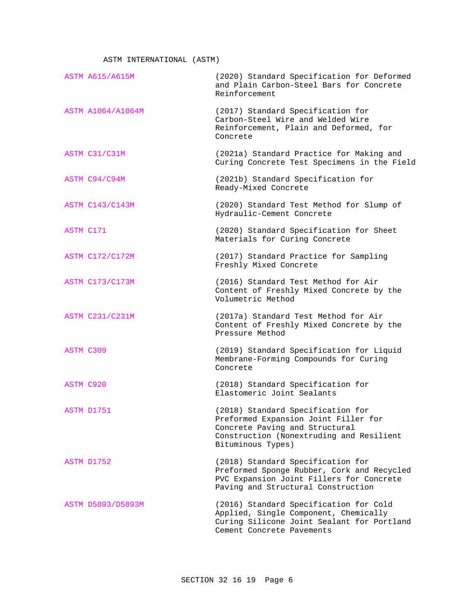ASTM INTERNATIONAL (ASTM)

|           | <b>ASTM A615/A615M</b> | (2020) Standard Specification for Deformed<br>and Plain Carbon-Steel Bars for Concrete<br>Reinforcement                                                                      |
|-----------|------------------------|------------------------------------------------------------------------------------------------------------------------------------------------------------------------------|
|           | ASTM A1064/A1064M      | (2017) Standard Specification for<br>Carbon-Steel Wire and Welded Wire<br>Reinforcement, Plain and Deformed, for<br>Concrete                                                 |
|           | ASTM C31/C31M          | (2021a) Standard Practice for Making and<br>Curing Concrete Test Specimens in the Field                                                                                      |
|           | ASTM C94/C94M          | (2021b) Standard Specification for<br>Ready-Mixed Concrete                                                                                                                   |
|           | ASTM C143/C143M        | (2020) Standard Test Method for Slump of<br>Hydraulic-Cement Concrete                                                                                                        |
| ASTM C171 |                        | (2020) Standard Specification for Sheet<br>Materials for Curing Concrete                                                                                                     |
|           | <b>ASTM C172/C172M</b> | (2017) Standard Practice for Sampling<br>Freshly Mixed Concrete                                                                                                              |
|           | <b>ASTM C173/C173M</b> | (2016) Standard Test Method for Air<br>Content of Freshly Mixed Concrete by the<br>Volumetric Method                                                                         |
|           | <b>ASTM C231/C231M</b> | (2017a) Standard Test Method for Air<br>Content of Freshly Mixed Concrete by the<br>Pressure Method                                                                          |
| ASTM C309 |                        | (2019) Standard Specification for Liquid<br>Membrane-Forming Compounds for Curing<br>Concrete                                                                                |
| ASTM C920 |                        | (2018) Standard Specification for<br>Elastomeric Joint Sealants                                                                                                              |
|           | ASTM D1751             | (2018) Standard Specification for<br>Preformed Expansion Joint Filler for<br>Concrete Paving and Structural<br>Construction (Nonextruding and Resilient<br>Bituminous Types) |
|           | ASTM D1752             | (2018) Standard Specification for<br>Preformed Sponge Rubber, Cork and Recycled<br>PVC Expansion Joint Fillers for Concrete<br>Paving and Structural Construction            |
|           | ASTM D5893/D5893M      | (2016) Standard Specification for Cold<br>Applied, Single Component, Chemically<br>Curing Silicone Joint Sealant for Portland<br>Cement Concrete Pavements                   |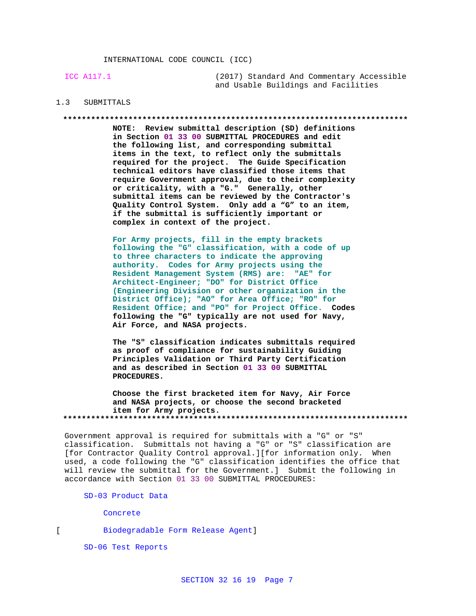# ICC A117.1

(2017) Standard And Commentary Accessible and Usable Buildings and Facilities

## 1.3 SUBMITTALS

### 

NOTE: Review submittal description (SD) definitions in Section 01 33 00 SUBMITTAL PROCEDURES and edit the following list, and corresponding submittal items in the text, to reflect only the submittals required for the project. The Guide Specification technical editors have classified those items that require Government approval, due to their complexity or criticality, with a "G." Generally, other submittal items can be reviewed by the Contractor's Quality Control System. Only add a "G" to an item, if the submittal is sufficiently important or complex in context of the project.

For Army projects, fill in the empty brackets following the "G" classification, with a code of up to three characters to indicate the approving authority. Codes for Army projects using the Resident Management System (RMS) are: "AE" for Architect-Engineer; "DO" for District Office (Engineering Division or other organization in the District Office); "AO" for Area Office; "RO" for Resident Office; and "PO" for Project Office. Codes following the "G" typically are not used for Navy, Air Force, and NASA projects.

The "S" classification indicates submittals required as proof of compliance for sustainability Guiding Principles Validation or Third Party Certification and as described in Section 01 33 00 SUBMITTAL PROCEDURES.

Choose the first bracketed item for Navy, Air Force and NASA projects, or choose the second bracketed item for Army projects. 

Government approval is required for submittals with a "G" or "S" classification. Submittals not having a "G" or "S" classification are [for Contractor Quality Control approval.][for information only. When used, a code following the "G" classification identifies the office that will review the submittal for the Government.] Submit the following in accordance with Section 01 33 00 SUBMITTAL PROCEDURES:

SD-03 Product Data

Concrete

### $\Gamma$

Biodegradable Form Release Agent]

SD-06 Test Reports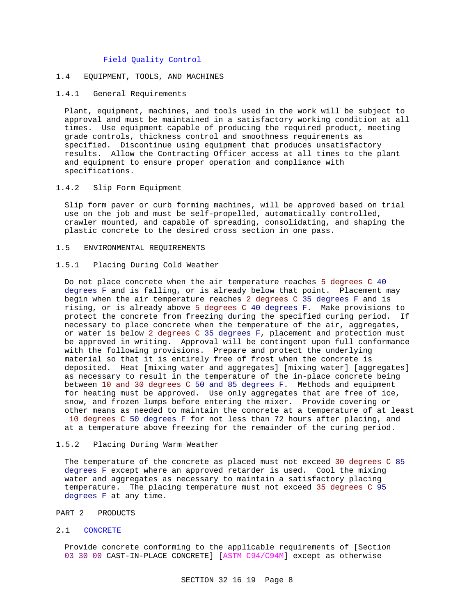# Field Quality Control

## 1.4 EQUIPMENT, TOOLS, AND MACHINES

## 1.4.1 General Requirements

Plant, equipment, machines, and tools used in the work will be subject to approval and must be maintained in a satisfactory working condition at all times. Use equipment capable of producing the required product, meeting grade controls, thickness control and smoothness requirements as specified. Discontinue using equipment that produces unsatisfactory results. Allow the Contracting Officer access at all times to the plant and equipment to ensure proper operation and compliance with specifications.

# 1.4.2 Slip Form Equipment

Slip form paver or curb forming machines, will be approved based on trial use on the job and must be self-propelled, automatically controlled, crawler mounted, and capable of spreading, consolidating, and shaping the plastic concrete to the desired cross section in one pass.

### 1.5 ENVIRONMENTAL REQUIREMENTS

# 1.5.1 Placing During Cold Weather

Do not place concrete when the air temperature reaches 5 degrees C 40 degrees F and is falling, or is already below that point. Placement may begin when the air temperature reaches 2 degrees C 35 degrees F and is rising, or is already above 5 degrees C 40 degrees F. Make provisions to protect the concrete from freezing during the specified curing period. If necessary to place concrete when the temperature of the air, aggregates, or water is below 2 degrees C 35 degrees F, placement and protection must be approved in writing. Approval will be contingent upon full conformance with the following provisions. Prepare and protect the underlying material so that it is entirely free of frost when the concrete is deposited. Heat [mixing water and aggregates] [mixing water] [aggregates] as necessary to result in the temperature of the in-place concrete being between 10 and 30 degrees C 50 and 85 degrees F. Methods and equipment for heating must be approved. Use only aggregates that are free of ice, snow, and frozen lumps before entering the mixer. Provide covering or other means as needed to maintain the concrete at a temperature of at least 10 degrees C 50 degrees F for not less than 72 hours after placing, and at a temperature above freezing for the remainder of the curing period.

# 1.5.2 Placing During Warm Weather

The temperature of the concrete as placed must not exceed 30 degrees C 85 degrees F except where an approved retarder is used. Cool the mixing water and aggregates as necessary to maintain a satisfactory placing temperature. The placing temperature must not exceed 35 degrees C 95 degrees F at any time.

### PART 2 PRODUCTS

### 2.1 CONCRETE

Provide concrete conforming to the applicable requirements of [Section 03 30 00 CAST-IN-PLACE CONCRETE] [ASTM C94/C94M] except as otherwise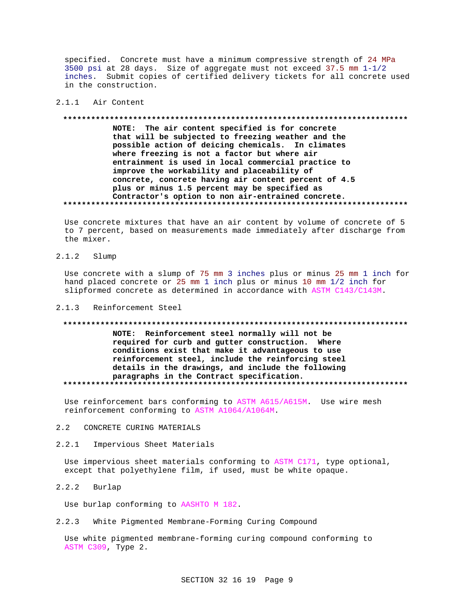specified. Concrete must have a minimum compressive strength of 24 MPa 3500 psi at 28 days. Size of aggregate must not exceed 37.5 mm 1-1/2 inches. Submit copies of certified delivery tickets for all concrete used in the construction.

# 2.1.1 Air Content

### 

NOTE: The air content specified is for concrete that will be subjected to freezing weather and the possible action of deicing chemicals. In climates where freezing is not a factor but where air entrainment is used in local commercial practice to improve the workability and placeability of concrete, concrete having air content percent of 4.5 plus or minus 1.5 percent may be specified as Contractor's option to non air-entrained concrete. 

Use concrete mixtures that have an air content by volume of concrete of 5 to 7 percent, based on measurements made immediately after discharge from the mixer.

#### $2.1.2$ Slump

Use concrete with a slump of 75 mm 3 inches plus or minus 25 mm 1 inch for hand placed concrete or 25 mm 1 inch plus or minus 10 mm 1/2 inch for slipformed concrete as determined in accordance with ASTM C143/C143M.

#### $2.1.3$ Reinforcement Steel

### NOTE: Reinforcement steel normally will not be required for curb and gutter construction. Where conditions exist that make it advantageous to use reinforcement steel, include the reinforcing steel details in the drawings, and include the following paragraphs in the Contract specification. \*\*\*\*\*\*\*\*\*\*\*\*\*\*\*\*

Use reinforcement bars conforming to ASTM A615/A615M. Use wire mesh reinforcement conforming to ASTM A1064/A1064M.

#### $2.2$ CONCRETE CURING MATERIALS

#### $2.2.1$ Impervious Sheet Materials

Use impervious sheet materials conforming to ASTM C171, type optional, except that polyethylene film, if used, must be white opaque.

#### $2.2.2$ Burlap

Use burlap conforming to AASHTO M 182.

 $2.2.3$ White Pigmented Membrane-Forming Curing Compound

Use white pigmented membrane-forming curing compound conforming to ASTM C309, Type 2.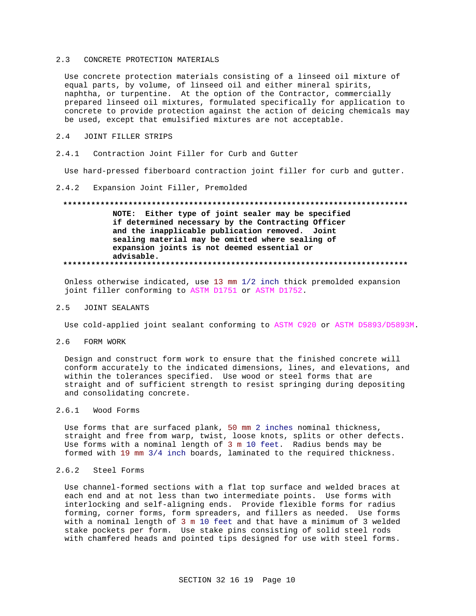## 2.3 CONCRETE PROTECTION MATERIALS

Use concrete protection materials consisting of a linseed oil mixture of equal parts, by volume, of linseed oil and either mineral spirits, naphtha, or turpentine. At the option of the Contractor, commercially prepared linseed oil mixtures, formulated specifically for application to concrete to provide protection against the action of deicing chemicals may be used, except that emulsified mixtures are not acceptable.

# 2.4 JOINT FILLER STRIPS

# 2.4.1 Contraction Joint Filler for Curb and Gutter

Use hard-pressed fiberboard contraction joint filler for curb and gutter.

# 2.4.2 Expansion Joint Filler, Premolded

# **\*\*\*\*\*\*\*\*\*\*\*\*\*\*\*\*\*\*\*\*\*\*\*\*\*\*\*\*\*\*\*\*\*\*\*\*\*\*\*\*\*\*\*\*\*\*\*\*\*\*\*\*\*\*\*\*\*\*\*\*\*\*\*\*\*\*\*\*\*\*\*\*\*\* NOTE: Either type of joint sealer may be specified if determined necessary by the Contracting Officer and the inapplicable publication removed. Joint sealing material may be omitted where sealing of expansion joints is not deemed essential or advisable. \*\*\*\*\*\*\*\*\*\*\*\*\*\*\*\*\*\*\*\*\*\*\*\*\*\*\*\*\*\*\*\*\*\*\*\*\*\*\*\*\*\*\*\*\*\*\*\*\*\*\*\*\*\*\*\*\*\*\*\*\*\*\*\*\*\*\*\*\*\*\*\*\*\***

Onless otherwise indicated, use 13 mm 1/2 inch thick premolded expansion joint filler conforming to ASTM D1751 or ASTM D1752.

### 2.5 JOINT SEALANTS

Use cold-applied joint sealant conforming to ASTM C920 or ASTM D5893/D5893M.

### 2.6 FORM WORK

Design and construct form work to ensure that the finished concrete will conform accurately to the indicated dimensions, lines, and elevations, and within the tolerances specified. Use wood or steel forms that are straight and of sufficient strength to resist springing during depositing and consolidating concrete.

## 2.6.1 Wood Forms

Use forms that are surfaced plank, 50 mm 2 inches nominal thickness, straight and free from warp, twist, loose knots, splits or other defects. Use forms with a nominal length of 3 m 10 feet. Radius bends may be formed with 19 mm 3/4 inch boards, laminated to the required thickness.

## 2.6.2 Steel Forms

Use channel-formed sections with a flat top surface and welded braces at each end and at not less than two intermediate points. Use forms with interlocking and self-aligning ends. Provide flexible forms for radius forming, corner forms, form spreaders, and fillers as needed. Use forms with a nominal length of 3 m 10 feet and that have a minimum of 3 welded stake pockets per form. Use stake pins consisting of solid steel rods with chamfered heads and pointed tips designed for use with steel forms.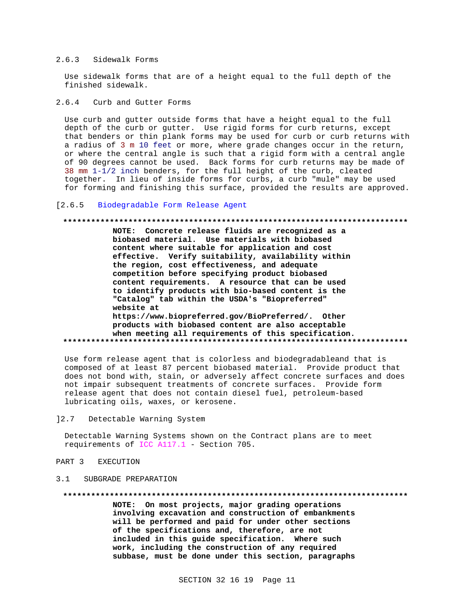#### $2.6.3$ Sidewalk Forms

Use sidewalk forms that are of a height equal to the full depth of the finished sidewalk.

 $2.6.4$ Curb and Gutter Forms

Use curb and gutter outside forms that have a height equal to the full depth of the curb or gutter. Use rigid forms for curb returns, except that benders or thin plank forms may be used for curb or curb returns with a radius of 3 m 10 feet or more, where grade changes occur in the return, or where the central angle is such that a rigid form with a central angle of 90 degrees cannot be used. Back forms for curb returns may be made of 38 mm 1-1/2 inch benders, for the full height of the curb, cleated together. In lieu of inside forms for curbs, a curb "mule" may be used for forming and finishing this surface, provided the results are approved.

#### $[2.6.5]$ Biodegradable Form Release Agent

# NOTE: Concrete release fluids are recognized as a biobased material. Use materials with biobased content where suitable for application and cost effective. Verify suitability, availability within the region, cost effectiveness, and adequate competition before specifying product biobased content requirements. A resource that can be used to identify products with bio-based content is the "Catalog" tab within the USDA's "Biopreferred" website at https://www.biopreferred.gov/BioPreferred/. Other products with biobased content are also acceptable when meeting all requirements of this specification.

Use form release agent that is colorless and biodegradableand that is composed of at least 87 percent biobased material. Provide product that does not bond with, stain, or adversely affect concrete surfaces and does not impair subsequent treatments of concrete surfaces. Provide form release agent that does not contain diesel fuel, petroleum-based lubricating oils, waxes, or kerosene.

 $] 2.7$ Detectable Warning System

Detectable Warning Systems shown on the Contract plans are to meet requirements of ICC A117.1 - Section 705.

- PART 3 **EXECUTION**
- SUBGRADE PREPARATION  $3.1$

#### 

NOTE: On most projects, major grading operations involving excavation and construction of embankments will be performed and paid for under other sections of the specifications and, therefore, are not included in this guide specification. Where such work, including the construction of any required subbase, must be done under this section, paragraphs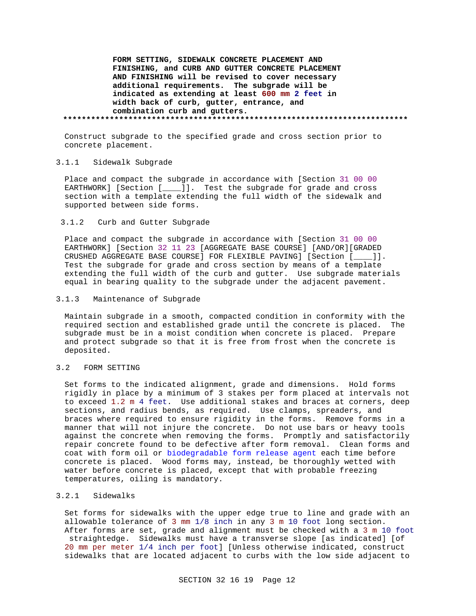**FORM SETTING, SIDEWALK CONCRETE PLACEMENT AND FINISHING, and CURB AND GUTTER CONCRETE PLACEMENT AND FINISHING will be revised to cover necessary additional requirements. The subgrade will be indicated as extending at least 600 mm 2 feet in width back of curb, gutter, entrance, and combination curb and gutters. \*\*\*\*\*\*\*\*\*\*\*\*\*\*\*\*\*\*\*\*\*\*\*\*\*\*\*\*\*\*\*\*\*\*\*\*\*\*\*\*\*\*\*\*\*\*\*\*\*\*\*\*\*\*\*\*\*\*\*\*\*\*\*\*\*\*\*\*\*\*\*\*\*\***

Construct subgrade to the specified grade and cross section prior to concrete placement.

## 3.1.1 Sidewalk Subgrade

Place and compact the subgrade in accordance with [Section 31 00 00 EARTHWORK] [Section [\_\_\_\_]]. Test the subgrade for grade and cross section with a template extending the full width of the sidewalk and supported between side forms.

# 3.1.2 Curb and Gutter Subgrade

Place and compact the subgrade in accordance with [Section 31 00 00 EARTHWORK] [Section 32 11 23 [AGGREGATE BASE COURSE] [AND/OR][GRADED CRUSHED AGGREGATE BASE COURSE] FOR FLEXIBLE PAVING] [Section [\_\_\_\_]]. Test the subgrade for grade and cross section by means of a template extending the full width of the curb and gutter. Use subgrade materials equal in bearing quality to the subgrade under the adjacent pavement.

# 3.1.3 Maintenance of Subgrade

Maintain subgrade in a smooth, compacted condition in conformity with the required section and established grade until the concrete is placed. The subgrade must be in a moist condition when concrete is placed. Prepare and protect subgrade so that it is free from frost when the concrete is deposited.

### 3.2 FORM SETTING

Set forms to the indicated alignment, grade and dimensions. Hold forms rigidly in place by a minimum of 3 stakes per form placed at intervals not to exceed 1.2 m 4 feet. Use additional stakes and braces at corners, deep sections, and radius bends, as required. Use clamps, spreaders, and braces where required to ensure rigidity in the forms. Remove forms in a manner that will not injure the concrete. Do not use bars or heavy tools against the concrete when removing the forms. Promptly and satisfactorily repair concrete found to be defective after form removal. Clean forms and coat with form oil or biodegradable form release agent each time before concrete is placed. Wood forms may, instead, be thoroughly wetted with water before concrete is placed, except that with probable freezing temperatures, oiling is mandatory.

# 3.2.1 Sidewalks

Set forms for sidewalks with the upper edge true to line and grade with an allowable tolerance of 3 mm 1/8 inch in any 3 m 10 foot long section. After forms are set, grade and alignment must be checked with a 3 m 10 foot straightedge. Sidewalks must have a transverse slope [as indicated] [of 20 mm per meter 1/4 inch per foot] [Unless otherwise indicated, construct sidewalks that are located adjacent to curbs with the low side adjacent to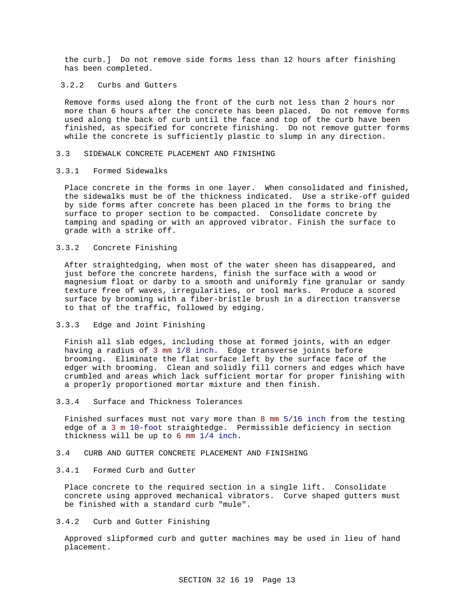the curb.] Do not remove side forms less than 12 hours after finishing has been completed.

# 3.2.2 Curbs and Gutters

Remove forms used along the front of the curb not less than 2 hours nor more than 6 hours after the concrete has been placed. Do not remove forms used along the back of curb until the face and top of the curb have been finished, as specified for concrete finishing. Do not remove gutter forms while the concrete is sufficiently plastic to slump in any direction.

## 3.3 SIDEWALK CONCRETE PLACEMENT AND FINISHING

# 3.3.1 Formed Sidewalks

Place concrete in the forms in one layer. When consolidated and finished, the sidewalks must be of the thickness indicated. Use a strike-off guided by side forms after concrete has been placed in the forms to bring the surface to proper section to be compacted. Consolidate concrete by tamping and spading or with an approved vibrator. Finish the surface to grade with a strike off.

## 3.3.2 Concrete Finishing

After straightedging, when most of the water sheen has disappeared, and just before the concrete hardens, finish the surface with a wood or magnesium float or darby to a smooth and uniformly fine granular or sandy texture free of waves, irregularities, or tool marks. Produce a scored surface by brooming with a fiber-bristle brush in a direction transverse to that of the traffic, followed by edging.

# 3.3.3 Edge and Joint Finishing

Finish all slab edges, including those at formed joints, with an edger having a radius of 3 mm 1/8 inch. Edge transverse joints before brooming. Eliminate the flat surface left by the surface face of the edger with brooming. Clean and solidly fill corners and edges which have crumbled and areas which lack sufficient mortar for proper finishing with a properly proportioned mortar mixture and then finish.

3.3.4 Surface and Thickness Tolerances

Finished surfaces must not vary more than 8 mm 5/16 inch from the testing edge of a 3 m 10-foot straightedge. Permissible deficiency in section thickness will be up to 6 mm 1/4 inch.

### 3.4 CURB AND GUTTER CONCRETE PLACEMENT AND FINISHING

3.4.1 Formed Curb and Gutter

Place concrete to the required section in a single lift. Consolidate concrete using approved mechanical vibrators. Curve shaped gutters must be finished with a standard curb "mule".

3.4.2 Curb and Gutter Finishing

Approved slipformed curb and gutter machines may be used in lieu of hand placement.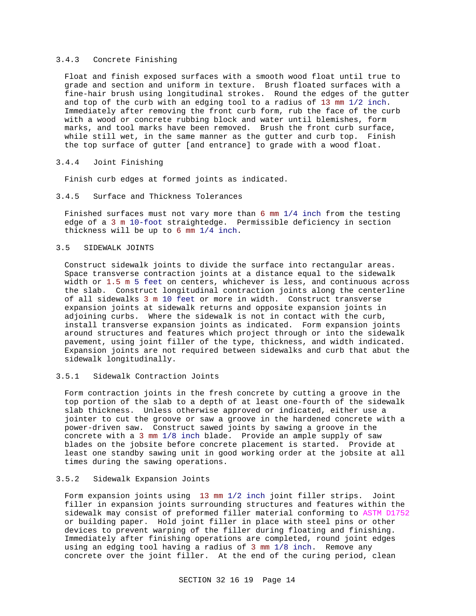# 3.4.3 Concrete Finishing

Float and finish exposed surfaces with a smooth wood float until true to grade and section and uniform in texture. Brush floated surfaces with a fine-hair brush using longitudinal strokes. Round the edges of the gutter and top of the curb with an edging tool to a radius of 13 mm 1/2 inch. Immediately after removing the front curb form, rub the face of the curb with a wood or concrete rubbing block and water until blemishes, form marks, and tool marks have been removed. Brush the front curb surface, while still wet, in the same manner as the gutter and curb top. Finish the top surface of gutter [and entrance] to grade with a wood float.

# 3.4.4 Joint Finishing

Finish curb edges at formed joints as indicated.

3.4.5 Surface and Thickness Tolerances

Finished surfaces must not vary more than 6 mm 1/4 inch from the testing edge of a 3 m 10-foot straightedge. Permissible deficiency in section thickness will be up to 6 mm 1/4 inch.

## 3.5 SIDEWALK JOINTS

Construct sidewalk joints to divide the surface into rectangular areas. Space transverse contraction joints at a distance equal to the sidewalk width or 1.5 m 5 feet on centers, whichever is less, and continuous across the slab. Construct longitudinal contraction joints along the centerline of all sidewalks 3 m 10 feet or more in width. Construct transverse expansion joints at sidewalk returns and opposite expansion joints in adjoining curbs. Where the sidewalk is not in contact with the curb, install transverse expansion joints as indicated. Form expansion joints around structures and features which project through or into the sidewalk pavement, using joint filler of the type, thickness, and width indicated. Expansion joints are not required between sidewalks and curb that abut the sidewalk longitudinally.

# 3.5.1 Sidewalk Contraction Joints

Form contraction joints in the fresh concrete by cutting a groove in the top portion of the slab to a depth of at least one-fourth of the sidewalk slab thickness. Unless otherwise approved or indicated, either use a jointer to cut the groove or saw a groove in the hardened concrete with a power-driven saw. Construct sawed joints by sawing a groove in the concrete with a 3 mm 1/8 inch blade. Provide an ample supply of saw blades on the jobsite before concrete placement is started. Provide at least one standby sawing unit in good working order at the jobsite at all times during the sawing operations.

# 3.5.2 Sidewalk Expansion Joints

Form expansion joints using 13 mm 1/2 inch joint filler strips. Joint filler in expansion joints surrounding structures and features within the sidewalk may consist of preformed filler material conforming to ASTM D1752 or building paper. Hold joint filler in place with steel pins or other devices to prevent warping of the filler during floating and finishing. Immediately after finishing operations are completed, round joint edges using an edging tool having a radius of 3 mm 1/8 inch. Remove any concrete over the joint filler. At the end of the curing period, clean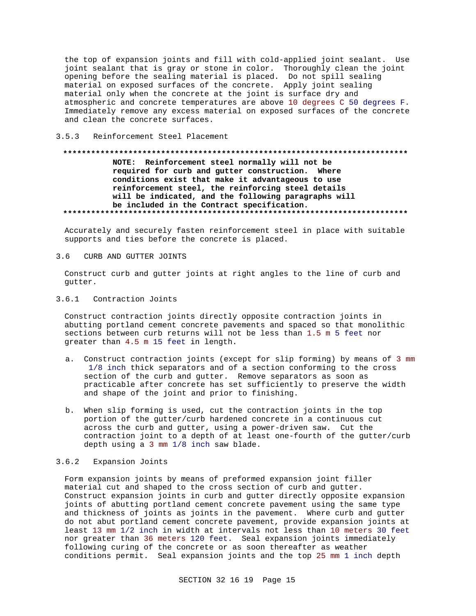the top of expansion joints and fill with cold-applied joint sealant. Use joint sealant that is gray or stone in color. Thoroughly clean the joint opening before the sealing material is placed. Do not spill sealing material on exposed surfaces of the concrete. Apply joint sealing material only when the concrete at the joint is surface dry and atmospheric and concrete temperatures are above 10 degrees C 50 degrees F. Immediately remove any excess material on exposed surfaces of the concrete and clean the concrete surfaces.

#### $3.5.3$ Reinforcement Steel Placement

# NOTE: Reinforcement steel normally will not be required for curb and gutter construction. Where conditions exist that make it advantageous to use reinforcement steel, the reinforcing steel details will be indicated, and the following paragraphs will be included in the Contract specification.

Accurately and securely fasten reinforcement steel in place with suitable supports and ties before the concrete is placed.

#### CURB AND GUTTER JOINTS  $3.6$

Construct curb and gutter joints at right angles to the line of curb and gutter.

#### $3.6.1$ Contraction Joints

Construct contraction joints directly opposite contraction joints in abutting portland cement concrete pavements and spaced so that monolithic sections between curb returns will not be less than 1.5 m 5 feet nor greater than 4.5 m 15 feet in length.

- a. Construct contraction joints (except for slip forming) by means of 3 mm 1/8 inch thick separators and of a section conforming to the cross section of the curb and gutter. Remove separators as soon as practicable after concrete has set sufficiently to preserve the width and shape of the joint and prior to finishing.
- b. When slip forming is used, cut the contraction joints in the top portion of the gutter/curb hardened concrete in a continuous cut across the curb and gutter, using a power-driven saw. Cut the contraction joint to a depth of at least one-fourth of the gutter/curb depth using a 3 mm 1/8 inch saw blade.

#### $3.6.2$ Expansion Joints

Form expansion joints by means of preformed expansion joint filler material cut and shaped to the cross section of curb and gutter. Construct expansion joints in curb and gutter directly opposite expansion joints of abutting portland cement concrete pavement using the same type and thickness of joints as joints in the pavement. Where curb and gutter do not abut portland cement concrete pavement, provide expansion joints at least 13 mm 1/2 inch in width at intervals not less than 10 meters 30 feet nor greater than 36 meters 120 feet. Seal expansion joints immediately following curing of the concrete or as soon thereafter as weather conditions permit. Seal expansion joints and the top 25 mm 1 inch depth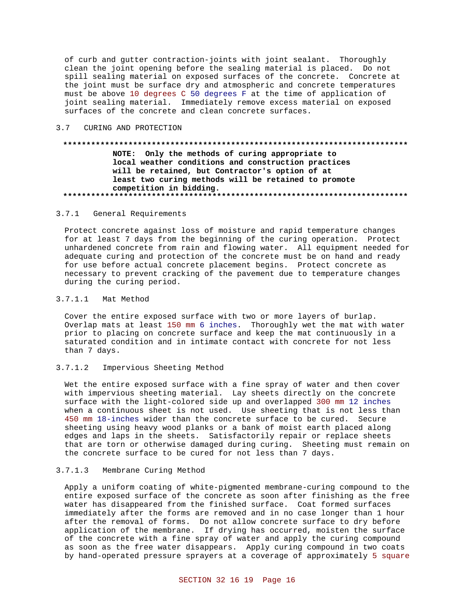of curb and gutter contraction-joints with joint sealant. Thoroughly clean the joint opening before the sealing material is placed. Do not spill sealing material on exposed surfaces of the concrete. Concrete at the joint must be surface dry and atmospheric and concrete temperatures must be above 10 degrees C 50 degrees F at the time of application of joint sealing material. Immediately remove excess material on exposed surfaces of the concrete and clean concrete surfaces.

#### $3.7$ CURING AND PROTECTION

# NOTE: Only the methods of curing appropriate to local weather conditions and construction practices will be retained, but Contractor's option of at least two curing methods will be retained to promote competition in bidding.

# 3.7.1 General Requirements

Protect concrete against loss of moisture and rapid temperature changes for at least 7 days from the beginning of the curing operation. Protect unhardened concrete from rain and flowing water. All equipment needed for adequate curing and protection of the concrete must be on hand and ready for use before actual concrete placement begins. Protect concrete as necessary to prevent cracking of the pavement due to temperature changes during the curing period.

#### $3.7.1.1$ Mat Method

Cover the entire exposed surface with two or more layers of burlap. Overlap mats at least 150 mm 6 inches. Thoroughly wet the mat with water prior to placing on concrete surface and keep the mat continuously in a saturated condition and in intimate contact with concrete for not less than 7 days.

#### $3.7.1.2$ Impervious Sheeting Method

Wet the entire exposed surface with a fine spray of water and then cover with impervious sheeting material. Lay sheets directly on the concrete surface with the light-colored side up and overlapped 300 mm 12 inches when a continuous sheet is not used. Use sheeting that is not less than 450 mm 18-inches wider than the concrete surface to be cured. Secure sheeting using heavy wood planks or a bank of moist earth placed along edges and laps in the sheets. Satisfactorily repair or replace sheets that are torn or otherwise damaged during curing. Sheeting must remain on the concrete surface to be cured for not less than 7 days.

#### $3.7.1.3$ Membrane Curing Method

Apply a uniform coating of white-pigmented membrane-curing compound to the entire exposed surface of the concrete as soon after finishing as the free water has disappeared from the finished surface. Coat formed surfaces immediately after the forms are removed and in no case longer than 1 hour after the removal of forms. Do not allow concrete surface to dry before application of the membrane. If drying has occurred, moisten the surface of the concrete with a fine spray of water and apply the curing compound as soon as the free water disappears. Apply curing compound in two coats by hand-operated pressure sprayers at a coverage of approximately 5 square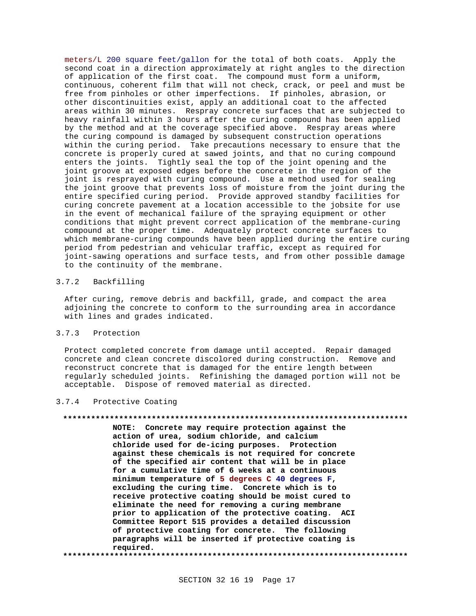meters/L 200 square feet/gallon for the total of both coats. Apply the second coat in a direction approximately at right angles to the direction of application of the first coat. The compound must form a uniform, continuous, coherent film that will not check, crack, or peel and must be free from pinholes or other imperfections. If pinholes, abrasion, or other discontinuities exist, apply an additional coat to the affected areas within 30 minutes. Respray concrete surfaces that are subjected to heavy rainfall within 3 hours after the curing compound has been applied by the method and at the coverage specified above. Respray areas where the curing compound is damaged by subsequent construction operations within the curing period. Take precautions necessary to ensure that the concrete is properly cured at sawed joints, and that no curing compound enters the joints. Tightly seal the top of the joint opening and the joint groove at exposed edges before the concrete in the region of the joint is resprayed with curing compound. Use a method used for sealing the joint groove that prevents loss of moisture from the joint during the entire specified curing period. Provide approved standby facilities for curing concrete pavement at a location accessible to the jobsite for use in the event of mechanical failure of the spraying equipment or other conditions that might prevent correct application of the membrane-curing compound at the proper time. Adequately protect concrete surfaces to which membrane-curing compounds have been applied during the entire curing period from pedestrian and vehicular traffic, except as required for joint-sawing operations and surface tests, and from other possible damage to the continuity of the membrane.

# 3.7.2 Backfilling

After curing, remove debris and backfill, grade, and compact the area adjoining the concrete to conform to the surrounding area in accordance with lines and grades indicated.

# 3.7.3 Protection

Protect completed concrete from damage until accepted. Repair damaged concrete and clean concrete discolored during construction. Remove and reconstruct concrete that is damaged for the entire length between regularly scheduled joints. Refinishing the damaged portion will not be acceptable. Dispose of removed material as directed.

### 3.7.4 Protective Coating

### **\*\*\*\*\*\*\*\*\*\*\*\*\*\*\*\*\*\*\*\*\*\*\*\*\*\*\*\*\*\*\*\*\*\*\*\*\*\*\*\*\*\*\*\*\*\*\*\*\*\*\*\*\*\*\*\*\*\*\*\*\*\*\*\*\*\*\*\*\*\*\*\*\*\***

**NOTE: Concrete may require protection against the action of urea, sodium chloride, and calcium chloride used for de-icing purposes. Protection against these chemicals is not required for concrete of the specified air content that will be in place for a cumulative time of 6 weeks at a continuous minimum temperature of 5 degrees C 40 degrees F, excluding the curing time. Concrete which is to receive protective coating should be moist cured to eliminate the need for removing a curing membrane prior to application of the protective coating. ACI Committee Report 515 provides a detailed discussion of protective coating for concrete. The following paragraphs will be inserted if protective coating is required. \*\*\*\*\*\*\*\*\*\*\*\*\*\*\*\*\*\*\*\*\*\*\*\*\*\*\*\*\*\*\*\*\*\*\*\*\*\*\*\*\*\*\*\*\*\*\*\*\*\*\*\*\*\*\*\*\*\*\*\*\*\*\*\*\*\*\*\*\*\*\*\*\*\***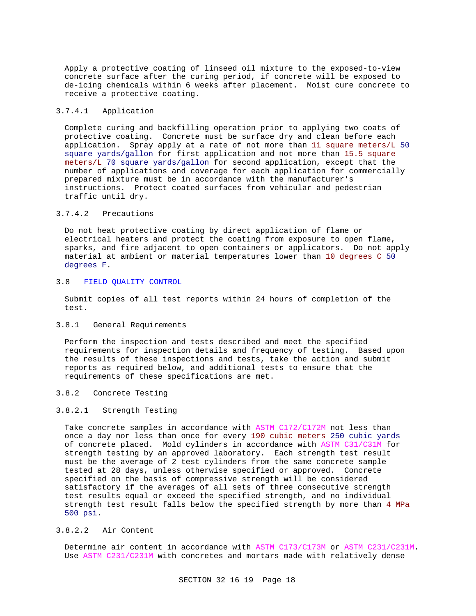Apply a protective coating of linseed oil mixture to the exposed-to-view concrete surface after the curing period, if concrete will be exposed to de-icing chemicals within 6 weeks after placement. Moist cure concrete to receive a protective coating.

# 3.7.4.1 Application

Complete curing and backfilling operation prior to applying two coats of protective coating. Concrete must be surface dry and clean before each application. Spray apply at a rate of not more than 11 square meters/L 50 square yards/gallon for first application and not more than 15.5 square meters/L 70 square yards/gallon for second application, except that the number of applications and coverage for each application for commercially prepared mixture must be in accordance with the manufacturer's instructions. Protect coated surfaces from vehicular and pedestrian traffic until dry.

# 3.7.4.2 Precautions

Do not heat protective coating by direct application of flame or electrical heaters and protect the coating from exposure to open flame, sparks, and fire adjacent to open containers or applicators. Do not apply material at ambient or material temperatures lower than 10 degrees C 50 degrees F.

# 3.8 FIELD QUALITY CONTROL

Submit copies of all test reports within 24 hours of completion of the test.

# 3.8.1 General Requirements

Perform the inspection and tests described and meet the specified requirements for inspection details and frequency of testing. Based upon the results of these inspections and tests, take the action and submit reports as required below, and additional tests to ensure that the requirements of these specifications are met.

# 3.8.2 Concrete Testing

# 3.8.2.1 Strength Testing

Take concrete samples in accordance with ASTM C172/C172M not less than once a day nor less than once for every 190 cubic meters 250 cubic yards of concrete placed. Mold cylinders in accordance with ASTM C31/C31M for strength testing by an approved laboratory. Each strength test result must be the average of 2 test cylinders from the same concrete sample tested at 28 days, unless otherwise specified or approved. Concrete specified on the basis of compressive strength will be considered satisfactory if the averages of all sets of three consecutive strength test results equal or exceed the specified strength, and no individual strength test result falls below the specified strength by more than 4 MPa 500 psi.

# 3.8.2.2 Air Content

Determine air content in accordance with ASTM C173/C173M or ASTM C231/C231M. Use ASTM C231/C231M with concretes and mortars made with relatively dense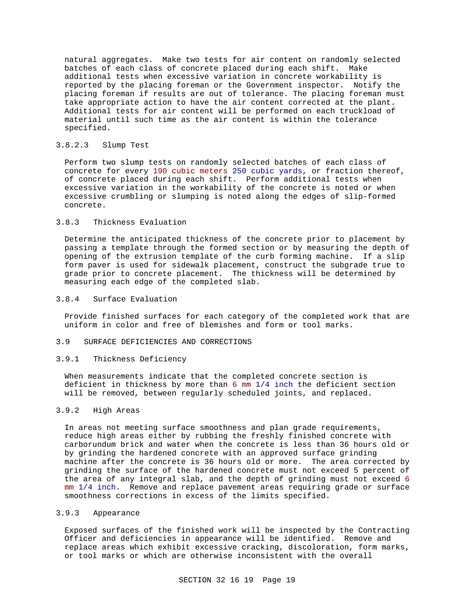natural aggregates. Make two tests for air content on randomly selected batches of each class of concrete placed during each shift. Make additional tests when excessive variation in concrete workability is reported by the placing foreman or the Government inspector. Notify the placing foreman if results are out of tolerance. The placing foreman must take appropriate action to have the air content corrected at the plant. Additional tests for air content will be performed on each truckload of material until such time as the air content is within the tolerance specified.

## 3.8.2.3 Slump Test

Perform two slump tests on randomly selected batches of each class of concrete for every 190 cubic meters 250 cubic yards, or fraction thereof, of concrete placed during each shift. Perform additional tests when excessive variation in the workability of the concrete is noted or when excessive crumbling or slumping is noted along the edges of slip-formed concrete.

# 3.8.3 Thickness Evaluation

Determine the anticipated thickness of the concrete prior to placement by passing a template through the formed section or by measuring the depth of opening of the extrusion template of the curb forming machine. If a slip form paver is used for sidewalk placement, construct the subgrade true to grade prior to concrete placement. The thickness will be determined by measuring each edge of the completed slab.

# 3.8.4 Surface Evaluation

Provide finished surfaces for each category of the completed work that are uniform in color and free of blemishes and form or tool marks.

# 3.9 SURFACE DEFICIENCIES AND CORRECTIONS

# 3.9.1 Thickness Deficiency

When measurements indicate that the completed concrete section is deficient in thickness by more than 6 mm 1/4 inch the deficient section will be removed, between regularly scheduled joints, and replaced.

# 3.9.2 High Areas

In areas not meeting surface smoothness and plan grade requirements, reduce high areas either by rubbing the freshly finished concrete with carborundum brick and water when the concrete is less than 36 hours old or by grinding the hardened concrete with an approved surface grinding machine after the concrete is 36 hours old or more. The area corrected by grinding the surface of the hardened concrete must not exceed 5 percent of the area of any integral slab, and the depth of grinding must not exceed 6 mm 1/4 inch. Remove and replace pavement areas requiring grade or surface smoothness corrections in excess of the limits specified.

# 3.9.3 Appearance

Exposed surfaces of the finished work will be inspected by the Contracting Officer and deficiencies in appearance will be identified. Remove and replace areas which exhibit excessive cracking, discoloration, form marks, or tool marks or which are otherwise inconsistent with the overall